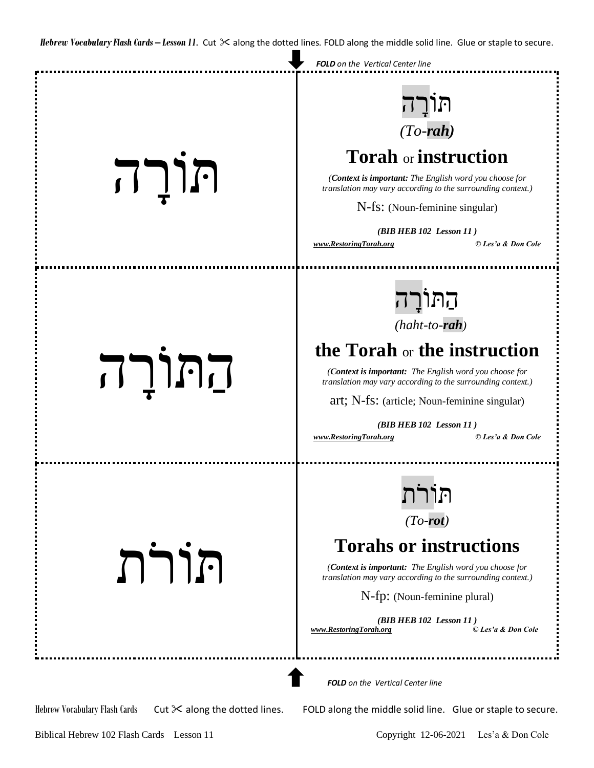

Hebrew Vocabulary Flash Cards Cut  $\geq$  along the dotted lines. FOLD along the middle solid line. Glue or staple to secure.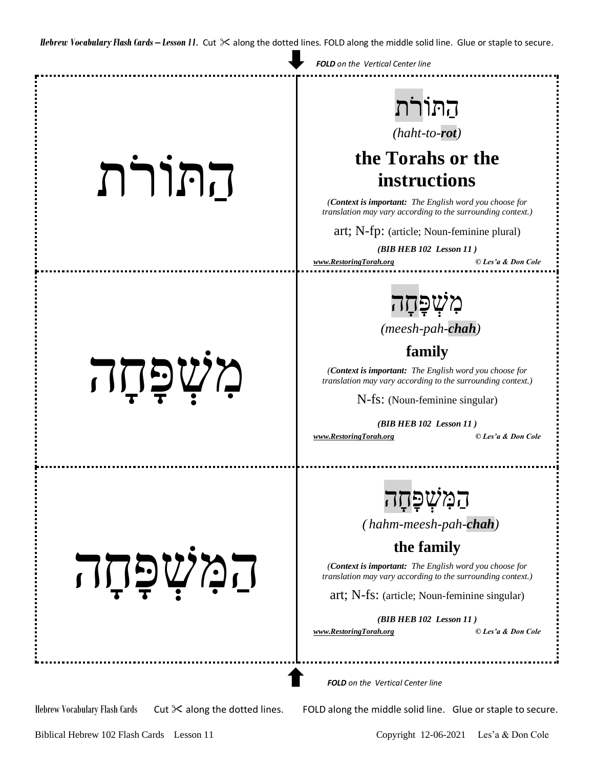

Biblical Hebrew 102 Flash Cards Lesson 11 Copyright 12-06-2021 Les'a & Don Cole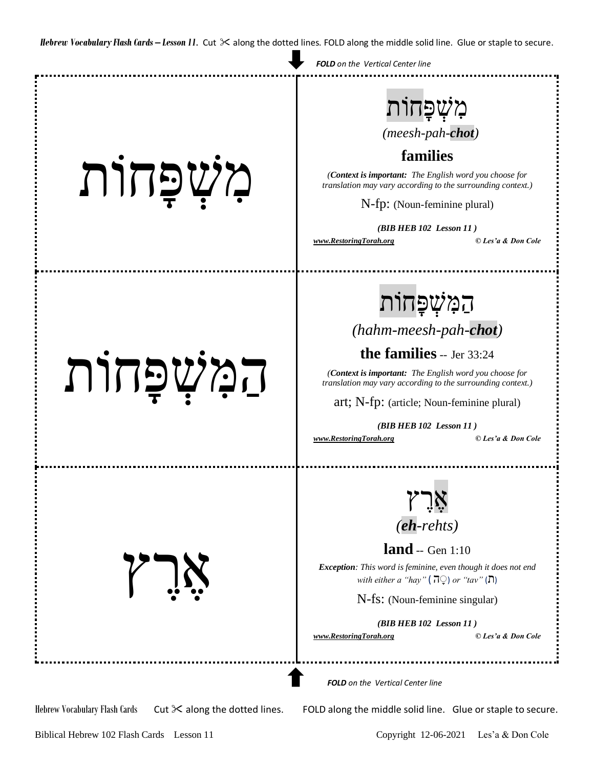*FOLD on the Vertical Center line*

## מִ שְׁ פָּחוֹת

הַמִּ שְׁ פָּחֹות

אֶ רֶ ץ

מִשְׁפָּחוֹת  *(meesh-pah-chot)*

**families**

*(Context is important: The English word you choose for translation may vary according to the surrounding context.)*

N-fp: (Noun-feminine plural)

*(BIB HEB 102 Lesson 11 ) [www.RestoringTorah.org](http://www.restoringtorah.org/) © Les'a & Don Cole*

## הַמִּ שְׁ פָּ חֹות

*(hahm-meesh-pah-chot)*

**the families**-- Jer 33:24

*(Context is important: The English word you choose for translation may vary according to the surrounding context.)*

art; N-fp: (article; Noun-feminine plural)

*(BIB HEB 102 Lesson 11 )*

*[www.RestoringTorah.org](http://www.restoringtorah.org/) © Les'a & Don Cole*



**land** -- Gen 1:10

*Exception: This word is feminine, even though it does not end with either a "hay"*  $(\vec{\Pi})$  *or "tav"*  $(\vec{\Pi})$ 

N-fs: (Noun-feminine singular)

*(BIB HEB 102 Lesson 11 )*

*[www.RestoringTorah.org](http://www.restoringtorah.org/) © Les'a & Don Cole*

*FOLD on the Vertical Center line*

Hebrew Vocabulary Flash Cards Cut  $\geq$  along the dotted lines. FOLD along the middle solid line. Glue or staple to secure.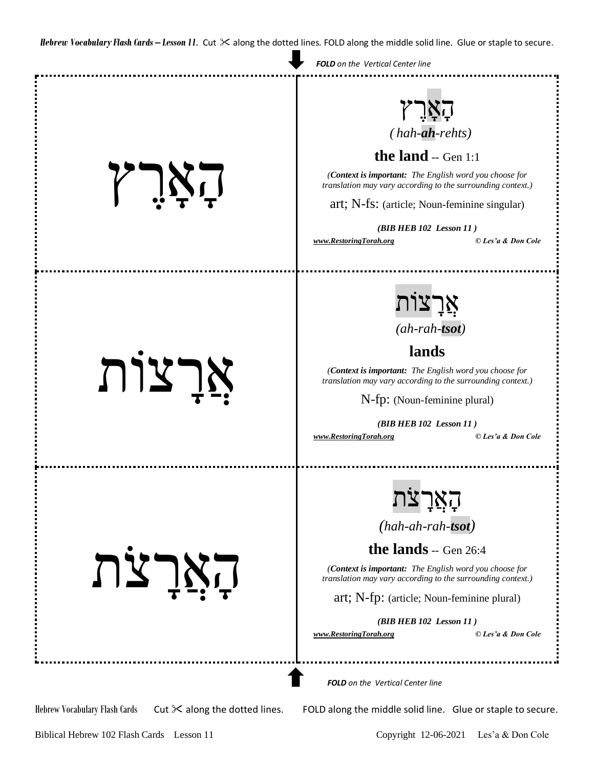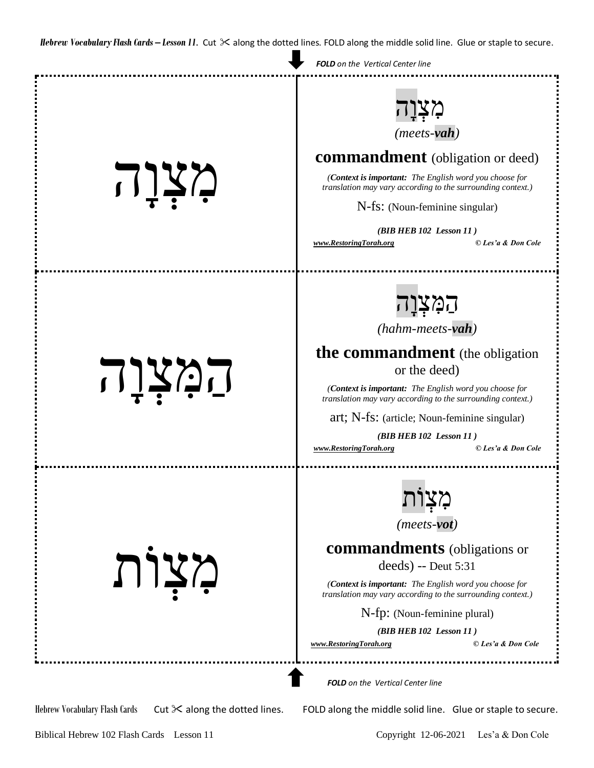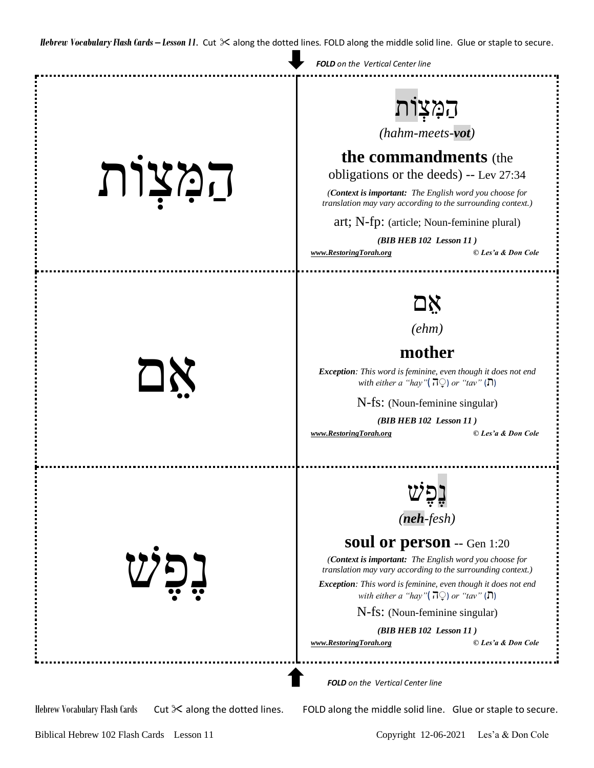Hebrew Vocabulary Flash Cards Cut  $\geq$  along the dotted lines. FOLD along the middle solid line. Glue or staple to secure. *FOLD on the Vertical Center line FOLD on the Vertical Center line* הַצְוֹת הַמְצְוֹת *(hahm-meets-vot)* **the commandments** (the obligations or the deeds) -- Lev 27:34 *(Context is important: The English word you choose for translation may vary according to the surrounding context.)* art; N-fp: (article; Noun-feminine plural) *(BIB HEB 102 Lesson 11 ) [www.RestoringTorah.org](http://www.restoringtorah.org/) © Les'a & Don Cole*  אַם אֵ ם *(ehm)* **mother** *Exception: This word is feminine, even though it does not end with either a "hay"*( $\overline{\overline{A}}$ ) *or "tav"* ( $\overline{\overline{A}}$ ) N-fs: (Noun-feminine singular) *(BIB HEB 102 Lesson 11 ) [www.RestoringTorah.org](http://www.restoringtorah.org/) © Les'a & Don Cole*  נֶפֶש <mark>נֶפֶע</mark>ֿ *(neh-fesh)* **soul or person** -- Gen 1:20 *(Context is important: The English word you choose for translation may vary according to the surrounding context.) Exception: This word is feminine, even though it does not end with either a "hay"*( $\overline{P}$ ) *or "tav"* ( $\overline{P}$ ) N-fs: (Noun-feminine singular) *(BIB HEB 102 Lesson 11 ) [www.RestoringTorah.org](http://www.restoringtorah.org/) © Les'a & Don Cole*